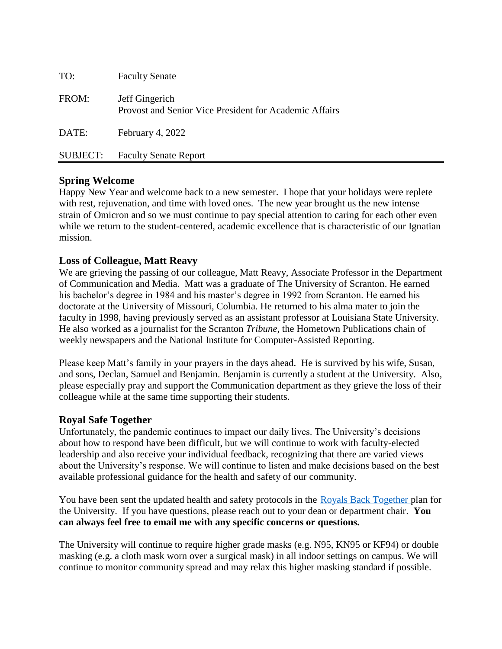| TO:      | <b>Faculty Senate</b>                                                    |
|----------|--------------------------------------------------------------------------|
| FROM:    | Jeff Gingerich<br>Provost and Senior Vice President for Academic Affairs |
| DATE:    | February 4, 2022                                                         |
| SUBJECT: | <b>Faculty Senate Report</b>                                             |

# **Spring Welcome**

Happy New Year and welcome back to a new semester. I hope that your holidays were replete with rest, rejuvenation, and time with loved ones. The new year brought us the new intense strain of Omicron and so we must continue to pay special attention to caring for each other even while we return to the student-centered, academic excellence that is characteristic of our Ignatian mission.

# **Loss of Colleague, Matt Reavy**

We are grieving the passing of our colleague, Matt Reavy, Associate Professor in the Department of Communication and Media. Matt was a graduate of The University of Scranton. He earned his bachelor's degree in 1984 and his master's degree in 1992 from Scranton. He earned his doctorate at the University of Missouri, Columbia. He returned to his alma mater to join the faculty in 1998, having previously served as an assistant professor at Louisiana State University. He also worked as a journalist for the Scranton *Tribune*, the Hometown Publications chain of weekly newspapers and the National Institute for Computer-Assisted Reporting.

Please keep Matt's family in your prayers in the days ahead. He is survived by his wife, Susan, and sons, Declan, Samuel and Benjamin. Benjamin is currently a student at the University. Also, please especially pray and support the Communication department as they grieve the loss of their colleague while at the same time supporting their students.

## **Royal Safe Together**

Unfortunately, the pandemic continues to impact our daily lives. The University's decisions about how to respond have been difficult, but we will continue to work with faculty-elected leadership and also receive your individual feedback, recognizing that there are varied views about the University's response. We will continue to listen and make decisions based on the best available professional guidance for the health and safety of our community.

You have been sent the updated health and safety protocols in the [Royals Back Together p](https://www.scranton.edu/royals-safe-together/index.shtml)lan for the University. If you have questions, please reach out to your dean or department chair. **You can always feel free to email me with any specific concerns or questions.**

The University will continue to require higher grade masks (e.g. N95, KN95 or KF94) or double masking (e.g. a cloth mask worn over a surgical mask) in all indoor settings on campus. We will continue to monitor community spread and may relax this higher masking standard if possible.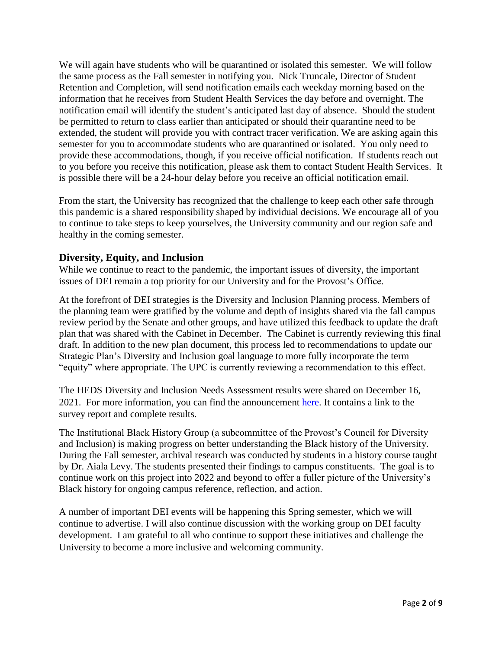We will again have students who will be quarantined or isolated this semester. We will follow the same process as the Fall semester in notifying you. Nick Truncale, Director of Student Retention and Completion, will send notification emails each weekday morning based on the information that he receives from Student Health Services the day before and overnight. The notification email will identify the student's anticipated last day of absence. Should the student be permitted to return to class earlier than anticipated or should their quarantine need to be extended, the student will provide you with contract tracer verification. We are asking again this semester for you to accommodate students who are quarantined or isolated. You only need to provide these accommodations, though, if you receive official notification. If students reach out to you before you receive this notification, please ask them to contact Student Health Services. It is possible there will be a 24-hour delay before you receive an official notification email.

From the start, the University has recognized that the challenge to keep each other safe through this pandemic is a shared responsibility shaped by individual decisions. We encourage all of you to continue to take steps to keep yourselves, the University community and our region safe and healthy in the coming semester.

### **Diversity, Equity, and Inclusion**

While we continue to react to the pandemic, the important issues of diversity, the important issues of DEI remain a top priority for our University and for the Provost's Office.

At the forefront of DEI strategies is the Diversity and Inclusion Planning process. Members of the planning team were gratified by the volume and depth of insights shared via the fall campus review period by the Senate and other groups, and have utilized this feedback to update the draft plan that was shared with the Cabinet in December. The Cabinet is currently reviewing this final draft. In addition to the new plan document, this process led to recommendations to update our Strategic Plan's Diversity and Inclusion goal language to more fully incorporate the term "equity" where appropriate. The UPC is currently reviewing a recommendation to this effect.

The HEDS Diversity and Inclusion Needs Assessment results were shared on December 16, 2021. For more information, you can find the announcement [here.](https://www.scranton.edu/equity-diversity/council-diversity-inclusion.shtml) It contains a link to the survey report and complete results.

The Institutional Black History Group (a subcommittee of the Provost's Council for Diversity and Inclusion) is making progress on better understanding the Black history of the University. During the Fall semester, archival research was conducted by students in a history course taught by Dr. Aiala Levy. The students presented their findings to campus constituents. The goal is to continue work on this project into 2022 and beyond to offer a fuller picture of the University's Black history for ongoing campus reference, reflection, and action.

A number of important DEI events will be happening this Spring semester, which we will continue to advertise. I will also continue discussion with the working group on DEI faculty development. I am grateful to all who continue to support these initiatives and challenge the University to become a more inclusive and welcoming community.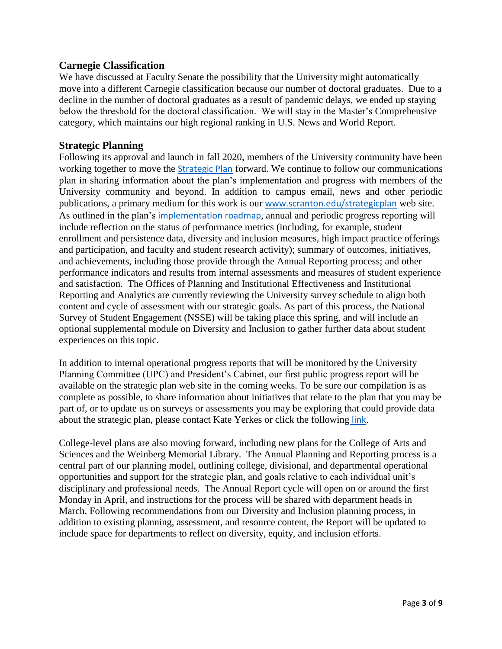### **Carnegie Classification**

We have discussed at Faculty Senate the possibility that the University might automatically move into a different Carnegie classification because our number of doctoral graduates. Due to a decline in the number of doctoral graduates as a result of pandemic delays, we ended up staying below the threshold for the doctoral classification. We will stay in the Master's Comprehensive category, which maintains our high regional ranking in U.S. News and World Report.

### **Strategic Planning**

Following its approval and launch in fall 2020, members of the University community have been working together to move the [Strategic Plan](http://www.scranton.edu/strategicplan) forward. We continue to follow our communications plan in sharing information about the plan's implementation and progress with members of the University community and beyond. In addition to campus email, news and other periodic publications, a primary medium for this work is our [www.scranton.edu/strategicplan](http://www.scranton.edu/strategicplan) web site. As outlined in the plan's [implementation roadmap](https://livescranton.sharepoint.com/:b:/s/adhoc_planning/ERu2gPUDyNNDpQ8_uSNS2v8BXhj1ITpT7HGAENx6zCBj8Q?e=cpQ53U), annual and periodic progress reporting will include reflection on the status of performance metrics (including, for example, student enrollment and persistence data, diversity and inclusion measures, high impact practice offerings and participation, and faculty and student research activity); summary of outcomes, initiatives, and achievements, including those provide through the Annual Reporting process; and other performance indicators and results from internal assessments and measures of student experience and satisfaction. The Offices of Planning and Institutional Effectiveness and Institutional Reporting and Analytics are currently reviewing the University survey schedule to align both content and cycle of assessment with our strategic goals. As part of this process, the National Survey of Student Engagement (NSSE) will be taking place this spring, and will include an optional supplemental module on Diversity and Inclusion to gather further data about student experiences on this topic.

In addition to internal operational progress reports that will be monitored by the University Planning Committee (UPC) and President's Cabinet, our first public progress report will be available on the strategic plan web site in the coming weeks. To be sure our compilation is as complete as possible, to share information about initiatives that relate to the plan that you may be part of, or to update us on surveys or assessments you may be exploring that could provide data about the strategic plan, please contact Kate Yerkes or click the following [link](https://forms.office.com/r/n0uY8MiUGx).

College-level plans are also moving forward, including new plans for the College of Arts and Sciences and the Weinberg Memorial Library. The Annual Planning and Reporting process is a central part of our planning model, outlining college, divisional, and departmental operational opportunities and support for the strategic plan, and goals relative to each individual unit's disciplinary and professional needs. The Annual Report cycle will open on or around the first Monday in April, and instructions for the process will be shared with department heads in March. Following recommendations from our Diversity and Inclusion planning process, in addition to existing planning, assessment, and resource content, the Report will be updated to include space for departments to reflect on diversity, equity, and inclusion efforts.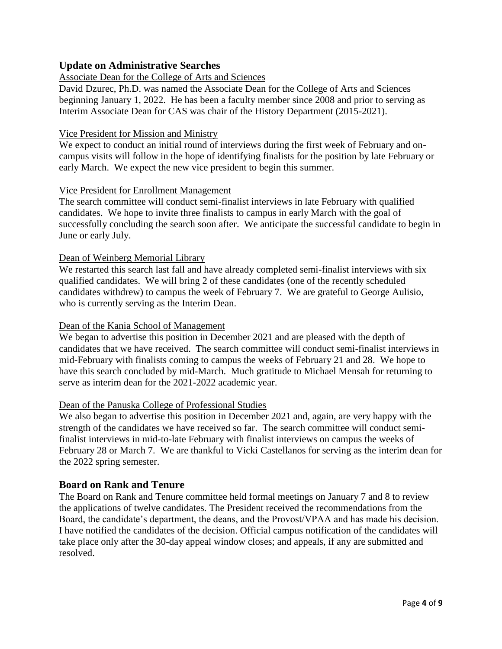## **Update on Administrative Searches**

#### Associate Dean for the College of Arts and Sciences

David Dzurec, Ph.D. was named the Associate Dean for the College of Arts and Sciences beginning January 1, 2022. He has been a faculty member since 2008 and prior to serving as Interim Associate Dean for CAS was chair of the History Department (2015-2021).

#### Vice President for Mission and Ministry

We expect to conduct an initial round of interviews during the first week of February and oncampus visits will follow in the hope of identifying finalists for the position by late February or early March. We expect the new vice president to begin this summer.

#### Vice President for Enrollment Management

The search committee will conduct semi-finalist interviews in late February with qualified candidates. We hope to invite three finalists to campus in early March with the goal of successfully concluding the search soon after. We anticipate the successful candidate to begin in June or early July.

### Dean of Weinberg Memorial Library

We restarted this search last fall and have already completed semi-finalist interviews with six qualified candidates. We will bring 2 of these candidates (one of the recently scheduled candidates withdrew) to campus the week of February 7. We are grateful to George Aulisio, who is currently serving as the Interim Dean.

#### Dean of the Kania School of Management

We began to advertise this position in December 2021 and are pleased with the depth of candidates that we have received. The search committee will conduct semi-finalist interviews in mid-February with finalists coming to campus the weeks of February 21 and 28. We hope to have this search concluded by mid-March. Much gratitude to Michael Mensah for returning to serve as interim dean for the 2021-2022 academic year.

#### Dean of the Panuska College of Professional Studies

We also began to advertise this position in December 2021 and, again, are very happy with the strength of the candidates we have received so far. The search committee will conduct semifinalist interviews in mid-to-late February with finalist interviews on campus the weeks of February 28 or March 7. We are thankful to Vicki Castellanos for serving as the interim dean for the 2022 spring semester.

### **Board on Rank and Tenure**

The Board on Rank and Tenure committee held formal meetings on January 7 and 8 to review the applications of twelve candidates. The President received the recommendations from the Board, the candidate's department, the deans, and the Provost/VPAA and has made his decision. I have notified the candidates of the decision. Official campus notification of the candidates will take place only after the 30-day appeal window closes; and appeals, if any are submitted and resolved.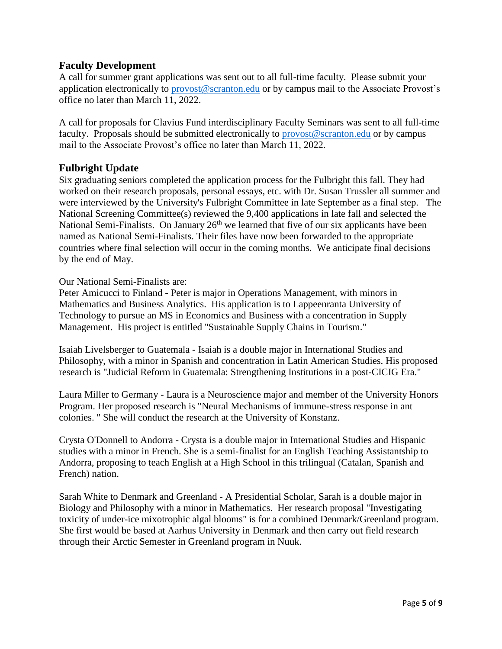## **Faculty Development**

A call for summer grant applications was sent out to all full-time faculty. Please submit your application electronically to [provost@scranton.edu](mailto:provost@scranton.edu) or by campus mail to the Associate Provost's office no later than March 11, 2022.

A call for proposals for Clavius Fund interdisciplinary Faculty Seminars was sent to all full-time faculty. Proposals should be submitted electronically to [provost@scranton.edu](mailto:provost@scranton.edu) or by campus mail to the Associate Provost's office no later than March 11, 2022.

## **Fulbright Update**

Six graduating seniors completed the application process for the Fulbright this fall. They had worked on their research proposals, personal essays, etc. with Dr. Susan Trussler all summer and were interviewed by the University's Fulbright Committee in late September as a final step. The National Screening Committee(s) reviewed the 9,400 applications in late fall and selected the National Semi-Finalists. On January 26<sup>th</sup> we learned that five of our six applicants have been named as National Semi-Finalists. Their files have now been forwarded to the appropriate countries where final selection will occur in the coming months. We anticipate final decisions by the end of May.

#### Our National Semi-Finalists are:

Peter Amicucci to Finland - Peter is major in Operations Management, with minors in Mathematics and Business Analytics. His application is to Lappeenranta University of Technology to pursue an MS in Economics and Business with a concentration in Supply Management. His project is entitled "Sustainable Supply Chains in Tourism."

Isaiah Livelsberger to Guatemala - Isaiah is a double major in International Studies and Philosophy, with a minor in Spanish and concentration in Latin American Studies. His proposed research is "Judicial Reform in Guatemala: Strengthening Institutions in a post-CICIG Era."

Laura Miller to Germany - Laura is a Neuroscience major and member of the University Honors Program. Her proposed research is "Neural Mechanisms of immune-stress response in ant colonies. " She will conduct the research at the University of Konstanz.

Crysta O'Donnell to Andorra - Crysta is a double major in International Studies and Hispanic studies with a minor in French. She is a semi-finalist for an English Teaching Assistantship to Andorra, proposing to teach English at a High School in this trilingual (Catalan, Spanish and French) nation.

Sarah White to Denmark and Greenland - A Presidential Scholar, Sarah is a double major in Biology and Philosophy with a minor in Mathematics. Her research proposal "Investigating toxicity of under-ice mixotrophic algal blooms" is for a combined Denmark/Greenland program. She first would be based at Aarhus University in Denmark and then carry out field research through their Arctic Semester in Greenland program in Nuuk.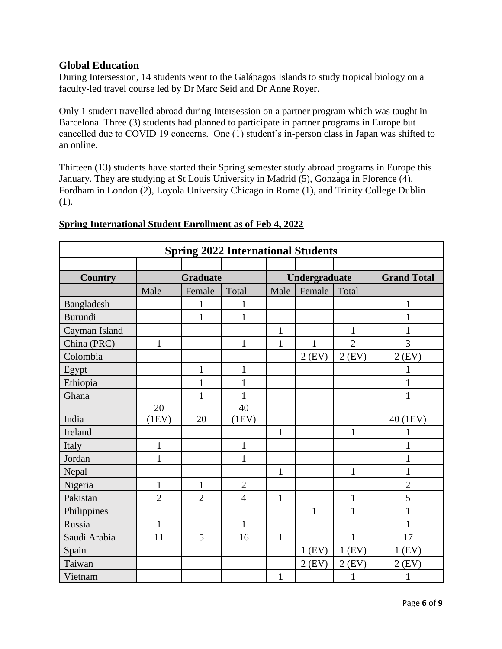## **Global Education**

During Intersession, 14 students went to the Galápagos Islands to study tropical biology on a faculty-led travel course led by Dr Marc Seid and Dr Anne Royer.

Only 1 student travelled abroad during Intersession on a partner program which was taught in Barcelona. Three (3) students had planned to participate in partner programs in Europe but cancelled due to COVID 19 concerns. One (1) student's in-person class in Japan was shifted to an online.

Thirteen (13) students have started their Spring semester study abroad programs in Europe this January. They are studying at St Louis University in Madrid (5), Gonzaga in Florence (4), Fordham in London (2), Loyola University Chicago in Rome (1), and Trinity College Dublin (1).

| <b>Spring 2022 International Students</b> |                 |                |                |               |              |                |                    |
|-------------------------------------------|-----------------|----------------|----------------|---------------|--------------|----------------|--------------------|
|                                           |                 |                |                |               |              |                |                    |
| <b>Country</b>                            | <b>Graduate</b> |                |                | Undergraduate |              |                | <b>Grand Total</b> |
|                                           | Male            | Female         | Total          | Male          | Female       | Total          |                    |
| Bangladesh                                |                 | $\mathbf{1}$   | 1              |               |              |                | 1                  |
| <b>Burundi</b>                            |                 | $\mathbf{1}$   | $\mathbf{1}$   |               |              |                |                    |
| Cayman Island                             |                 |                |                | 1             |              | $\mathbf{1}$   |                    |
| China (PRC)                               | $\mathbf{1}$    |                | $\mathbf{1}$   | $\mathbf{1}$  | 1            | $\overline{2}$ | 3                  |
| Colombia                                  |                 |                |                |               | $2$ (EV)     | $2$ (EV)       | $2$ (EV)           |
| Egypt                                     |                 | $\mathbf{1}$   | $\mathbf{1}$   |               |              |                | 1                  |
| Ethiopia                                  |                 | $\mathbf{1}$   | $\mathbf{1}$   |               |              |                | $\mathbf{1}$       |
| Ghana                                     |                 | $\mathbf{1}$   | $\mathbf{1}$   |               |              |                | 1                  |
|                                           | 20              |                | 40             |               |              |                |                    |
| India                                     | (1EV)           | 20             | (1EV)          |               |              |                | 40 (1EV)           |
| Ireland                                   |                 |                |                | $\mathbf{1}$  |              | $\mathbf{1}$   | 1                  |
| Italy                                     | $\mathbf{1}$    |                | $\mathbf{1}$   |               |              |                | $\mathbf{1}$       |
| Jordan                                    | 1               |                | $\mathbf{1}$   |               |              |                | $\mathbf{1}$       |
| Nepal                                     |                 |                |                | $\mathbf{1}$  |              | $\mathbf{1}$   | $\mathbf{1}$       |
| Nigeria                                   | $\mathbf{1}$    | $\mathbf{1}$   | $\overline{2}$ |               |              |                | $\overline{2}$     |
| Pakistan                                  | $\overline{2}$  | $\overline{2}$ | $\overline{4}$ | $\mathbf{1}$  |              | $\mathbf{1}$   | 5                  |
| Philippines                               |                 |                |                |               | $\mathbf{1}$ | 1              | $\mathbf{1}$       |
| Russia                                    | $\mathbf{1}$    |                | $\mathbf{1}$   |               |              |                | 1                  |
| Saudi Arabia                              | 11              | 5              | 16             | $\mathbf{1}$  |              | $\mathbf{1}$   | 17                 |
| Spain                                     |                 |                |                |               | $1$ (EV)     | $1$ (EV)       | $1$ (EV)           |
| Taiwan                                    |                 |                |                |               | $2$ (EV)     | $2$ (EV)       | $2$ (EV)           |
| Vietnam                                   |                 |                |                | $\mathbf{1}$  |              | 1              | 1                  |

## **Spring International Student Enrollment as of Feb 4, 2022**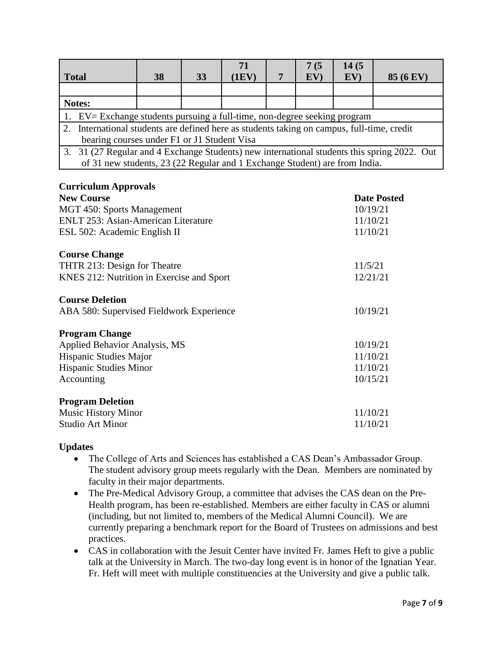|                                                                                             |  |    |    | 71    |  | 7(5 | 14(5 |                  |
|---------------------------------------------------------------------------------------------|--|----|----|-------|--|-----|------|------------------|
| <b>Total</b>                                                                                |  | 38 | 33 | (1EV) |  | EV) | EV)  | <b>85 (6 EV)</b> |
|                                                                                             |  |    |    |       |  |     |      |                  |
| Notes:                                                                                      |  |    |    |       |  |     |      |                  |
| 1. EV= Exchange students pursuing a full-time, non-degree seeking program                   |  |    |    |       |  |     |      |                  |
| 2. International students are defined here as students taking on campus, full-time, credit  |  |    |    |       |  |     |      |                  |
| bearing courses under F1 or J1 Student Visa                                                 |  |    |    |       |  |     |      |                  |
| 3. 31 (27 Regular and 4 Exchange Students) new international students this spring 2022. Out |  |    |    |       |  |     |      |                  |
| of 31 new students, 23 (22 Regular and 1 Exchange Student) are from India.                  |  |    |    |       |  |     |      |                  |

### **Curriculum Approvals**

| <b>New Course</b>                          | <b>Date Posted</b> |
|--------------------------------------------|--------------------|
| MGT 450: Sports Management                 | 10/19/21           |
| <b>ENLT 253: Asian-American Literature</b> | 11/10/21           |
| ESL 502: Academic English II               | 11/10/21           |
| <b>Course Change</b>                       |                    |
| THTR 213: Design for Theatre               | 11/5/21            |
| KNES 212: Nutrition in Exercise and Sport  | 12/21/21           |
| <b>Course Deletion</b>                     |                    |
| ABA 580: Supervised Fieldwork Experience   | 10/19/21           |
| <b>Program Change</b>                      |                    |
| <b>Applied Behavior Analysis, MS</b>       | 10/19/21           |
| Hispanic Studies Major                     | 11/10/21           |
| <b>Hispanic Studies Minor</b>              | 11/10/21           |
| Accounting                                 | 10/15/21           |
| <b>Program Deletion</b>                    |                    |
| <b>Music History Minor</b>                 | 11/10/21           |
| <b>Studio Art Minor</b>                    | 11/10/21           |

### **Updates**

- The College of Arts and Sciences has established a CAS Dean's Ambassador Group. The student advisory group meets regularly with the Dean. Members are nominated by faculty in their major departments.
- The Pre-Medical Advisory Group, a committee that advises the CAS dean on the Pre-Health program, has been re-established. Members are either faculty in CAS or alumni (including, but not limited to, members of the Medical Alumni Council). We are currently preparing a benchmark report for the Board of Trustees on admissions and best practices.
- CAS in collaboration with the Jesuit Center have invited Fr. James Heft to give a public talk at the University in March. The two-day long event is in honor of the Ignatian Year. Fr. Heft will meet with multiple constituencies at the University and give a public talk.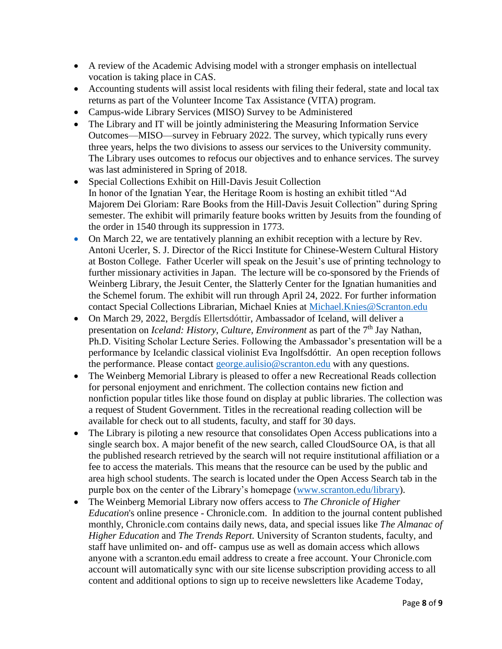- A review of the Academic Advising model with a stronger emphasis on intellectual vocation is taking place in CAS.
- Accounting students will assist local residents with filing their federal, state and local tax returns as part of the Volunteer Income Tax Assistance (VITA) program.
- Campus-wide Library Services (MISO) Survey to be Administered
- The Library and IT will be jointly administering the Measuring Information Service Outcomes—MISO—survey in February 2022. The survey, which typically runs every three years, helps the two divisions to assess our services to the University community. The Library uses outcomes to refocus our objectives and to enhance services. The survey was last administered in Spring of 2018.
- Special Collections Exhibit on Hill-Davis Jesuit Collection In honor of the Ignatian Year, the Heritage Room is hosting an exhibit titled "Ad Majorem Dei Gloriam: Rare Books from the Hill-Davis Jesuit Collection" during Spring semester. The exhibit will primarily feature books written by Jesuits from the founding of the order in 1540 through its suppression in 1773.
- On March 22, we are tentatively planning an exhibit reception with a lecture by Rev. Antoni Ucerler, S. J. Director of the Ricci Institute for Chinese-Western Cultural History at Boston College. Father Ucerler will speak on the Jesuit's use of printing technology to further missionary activities in Japan. The lecture will be co-sponsored by the Friends of Weinberg Library, the Jesuit Center, the Slatterly Center for the Ignatian humanities and the Schemel forum. The exhibit will run through April 24, 2022. For further information contact Special Collections Librarian, Michael Knies at [Michael.Knies@Scranton.edu](mailto:Michael.Knies@Scranton.edu)
- On March 29, 2022, Bergdís Ellertsdóttir, Ambassador of Iceland, will deliver a presentation on *Iceland: History, Culture, Environment* as part of the 7<sup>th</sup> Jay Nathan, Ph.D. Visiting Scholar Lecture Series. Following the Ambassador's presentation will be a performance by Icelandic classical violinist Eva Ingolfsdóttir. An open reception follows the performance. Please contact [george.aulisio@scranton.edu](mailto:george.aulisio@scranton.edu) with any questions.
- The Weinberg Memorial Library is pleased to offer a new Recreational Reads collection for personal enjoyment and enrichment. The collection contains new fiction and nonfiction popular titles like those found on display at public libraries. The collection was a request of Student Government. Titles in the recreational reading collection will be available for check out to all students, faculty, and staff for 30 days.
- The Library is piloting a new resource that consolidates Open Access publications into a single search box. A major benefit of the new search, called CloudSource OA, is that all the published research retrieved by the search will not require institutional affiliation or a fee to access the materials. This means that the resource can be used by the public and area high school students. The search is located under the Open Access Search tab in the purple box on the center of the Library's homepage [\(www.scranton.edu/library\)](http://www.scranton.edu/library).
- The Weinberg Memorial Library now offers access to *The Chronicle of Higher Education*'s online presence - Chronicle.com. In addition to the journal content published monthly, Chronicle.com contains daily news, data, and special issues like *The Almanac of Higher Education* and *The Trends Report.* University of Scranton students, faculty, and staff have unlimited on- and off- campus use as well as domain access which allows anyone with a scranton.edu email address to create a free account. Your Chronicle.com account will automatically sync with our site license subscription providing access to all content and additional options to sign up to receive newsletters like Academe Today,